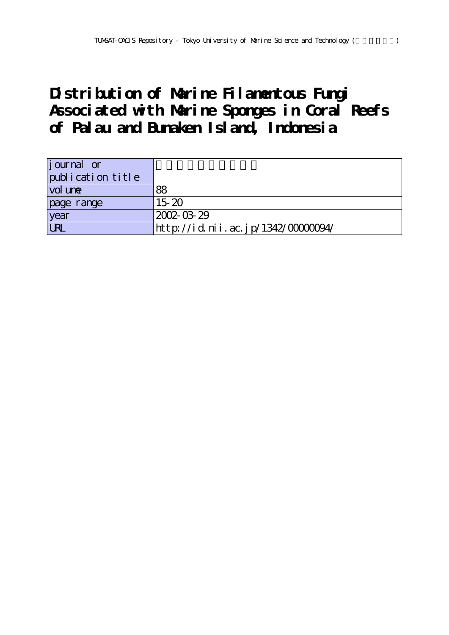# **Distribution of Marine Filamentous Fungi Associated with Marine Sponges in Coral Reefs of Palau and Bunaken Island, Indonesia**

| <i>j</i> ournal or<br>publication title |                                   |
|-----------------------------------------|-----------------------------------|
| vol une                                 | 88                                |
| page range                              | $15-20$                           |
| year                                    | 2002-03-29                        |
| <b>LRL</b>                              | http://id.nii.ac.jp/1342/0000094/ |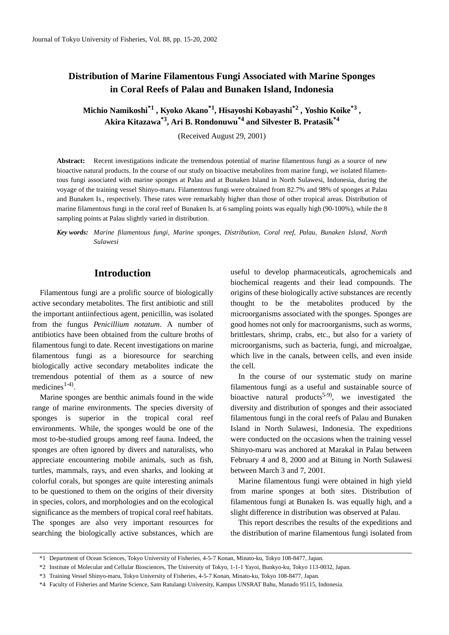# **Distribution of Marine Filamentous Fungi Associated with Marine Sponges in Coral Reefs of Palau and Bunaken Island, Indonesia**

**Michio Namikoshi\*1 , Kyoko Akano\*1, Hisayoshi Kobayashi\*2 , Yoshio Koike\*3 , Akira Kitazawa\*3, Ari B. Rondonuwu\*4 and Silvester B. Pratasik\*4**

(Received August 29, 2001)

**Abstract:** Recent investigations indicate the tremendous potential of marine filamentous fungi as a source of new bioactive natural products. In the course of our study on bioactive metabolites from marine fungi, we isolated filamentous fungi associated with marine sponges at Palau and at Bunaken Island in North Sulawesi, Indonesia, during the voyage of the training vessel Shinyo-maru. Filamentous fungi were obtained from 82.7% and 98% of sponges at Palau and Bunaken Is., respectively. These rates were remarkably higher than those of other tropical areas. Distribution of marine filamentous fungi in the coral reef of Bunaken Is. at 6 sampling points was equally high (90-100%), while the 8 sampling points at Palau slightly varied in distribution.

*Key words: Marine filamentous fungi, Marine sponges, Distribution, Coral reef, Palau, Bunaken Island, North Sulawesi*

# **Introduction**

Filamentous fungi are a prolific source of biologically active secondary metabolites. The first antibiotic and still the important antiinfectious agent, penicillin, was isolated from the fungus *Penicillium notatum*. A number of antibiotics have been obtained from the culture broths of filamentous fungi to date. Recent investigations on marine filamentous fungi as a bioresource for searching biologically active secondary metabolites indicate the tremendous potential of them as a source of new  $medi cines<sup>1-4</sup>$ .

Marine sponges are benthic animals found in the wide range of marine environments. The species diversity of sponges is superior in the tropical coral reef environments. While, the sponges would be one of the most to-be-studied groups among reef fauna. Indeed, the sponges are often ignored by divers and naturalists, who appreciate encountering mobile animals, such as fish, turtles, mammals, rays, and even sharks, and looking at colorful corals, but sponges are quite interesting animals to be questioned to them on the origins of their diversity in species, colors, and morphologies and on the ecological significance as the members of tropical coral reef habitats. The sponges are also very important resources for searching the biologically active substances, which are useful to develop pharmaceuticals, agrochemicals and biochemical reagents and their lead compounds. The origins of these biologically active substances are recently thought to be the metabolites produced by the microorganisms associated with the sponges. Sponges are good homes not only for macroorganisms, such as worms, brittlestars, shrimp, crabs, etc., but also for a variety of microorganisms, such as bacteria, fungi, and microalgae, which live in the canals, between cells, and even inside the cell.

In the course of our systematic study on marine filamentous fungi as a useful and sustainable source of bioactive natural products<sup>5-9</sup>, we investigated the diversity and distribution of sponges and their associated filamentous fungi in the coral reefs of Palau and Bunaken Island in North Sulawesi, Indonesia. The expeditions were conducted on the occasions when the training vessel Shinyo-maru was anchored at Marakal in Palau between February 4 and 8, 2000 and at Bitung in North Sulawesi between March 3 and 7, 2001.

Marine filamentous fungi were obtained in high yield from marine sponges at both sites. Distribution of filamentous fungi at Bunaken Is. was equally high, and a slight difference in distribution was observed at Palau.

This report describes the results of the expeditions and the distribution of marine filamentous fungi isolated from

<sup>\*1</sup> Department of Ocean Sciences, Tokyo University of Fisheries, 4-5-7 Konan, Minato-ku, Tokyo 108-8477, Japan.

<sup>\*2</sup> Institute of Molecular and Cellular Biosciences, The University of Tokyo, 1-1-1 Yayoi, Bunkyo-ku, Tokyo 113-0032, Japan.

<sup>\*3</sup> Training Vessel Shinyo-maru, Tokyo University of Fisheries, 4-5-7 Konan, Minato-ku, Tokyo 108-8477, Japan.

<sup>\*4</sup> Faculty of Fisheries and Marine Science, Sam Ratulangi University, Kampus UNSRAT Bahu, Manado 95115, Indonesia.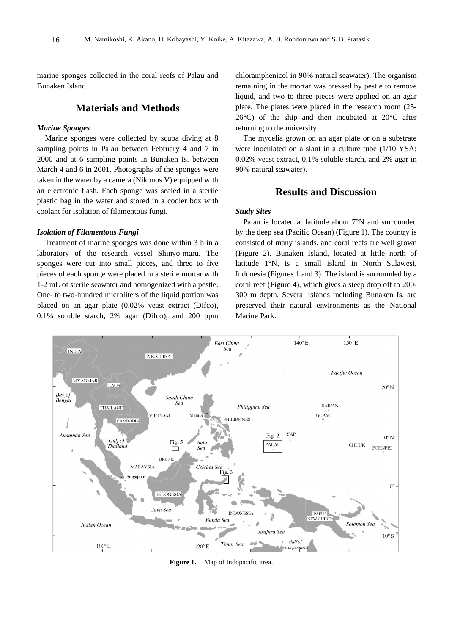marine sponges collected in the coral reefs of Palau and Bunaken Island.

# **Materials and Methods**

### *Marine Sponges*

Marine sponges were collected by scuba diving at 8 sampling points in Palau between February 4 and 7 in 2000 and at 6 sampling points in Bunaken Is. between March 4 and 6 in 2001. Photographs of the sponges were taken in the water by a camera (Nikonos V) equipped with an electronic flash. Each sponge was sealed in a sterile plastic bag in the water and stored in a cooler box with coolant for isolation of filamentous fungi.

#### *Isolation of Filamentous Fungi*

Treatment of marine sponges was done within 3 h in a laboratory of the research vessel Shinyo-maru. The sponges were cut into small pieces, and three to five pieces of each sponge were placed in a sterile mortar with 1-2 mL of sterile seawater and homogenized with a pestle. One- to two-hundred microliters of the liquid portion was placed on an agar plate (0.02% yeast extract (Difco), 0.1% soluble starch, 2% agar (Difco), and 200 ppm chloramphenicol in 90% natural seawater). The organism remaining in the mortar was pressed by pestle to remove liquid, and two to three pieces were applied on an agar plate. The plates were placed in the research room (25- 26°C) of the ship and then incubated at 20°C after returning to the university.

The mycelia grown on an agar plate or on a substrate were inoculated on a slant in a culture tube (1/10 YSA: 0.02% yeast extract, 0.1% soluble starch, and 2% agar in 90% natural seawater).

# **Results and Discussion**

## *Study Sites*

Palau is located at latitude about 7°N and surrounded by the deep sea (Pacific Ocean) (Figure 1). The country is consisted of many islands, and coral reefs are well grown (Figure 2). Bunaken Island, located at little north of latitude 1°N, is a small island in North Sulawesi, Indonesia (Figures 1 and 3). The island is surrounded by a coral reef (Figure 4), which gives a steep drop off to 200- 300 m depth. Several islands including Bunaken Is. are preserved their natural environments as the National Marine Park.



Figure 1. Map of Indopacific area.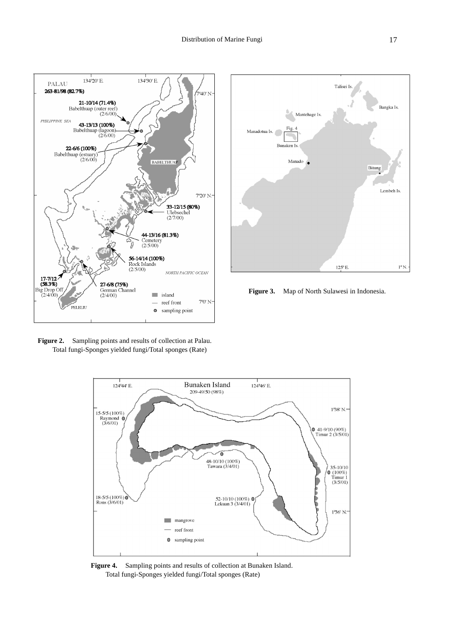





**Figure 2.** Sampling points and results of collection at Palau. Total fungi-Sponges yielded fungi/Total sponges (Rate)



**Figure 4.** Sampling points and results of collection at Bunaken Island. Total fungi-Sponges yielded fungi/Total sponges (Rate)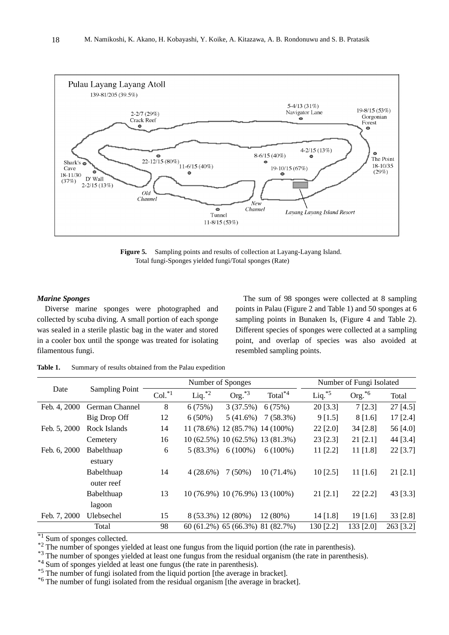

**Figure 5.** Sampling points and results of collection at Layang-Layang Island. Total fungi-Sponges yielded fungi/Total sponges (Rate)

## *Marine Sponges*

Diverse marine sponges were photographed and collected by scuba diving. A small portion of each sponge was sealed in a sterile plastic bag in the water and stored in a cooler box until the sponge was treated for isolating filamentous fungi.

The sum of 98 sponges were collected at 8 sampling points in Palau (Figure 2 and Table 1) and 50 sponges at 6 sampling points in Bunaken Is, (Figure 4 and Table 2). Different species of sponges were collected at a sampling point, and overlap of species was also avoided at resembled sampling points.

| Table 1. | Summary of results obtained from the Palau expedition |
|----------|-------------------------------------------------------|
|          |                                                       |

| Date         | <b>Sampling Point</b> |          | Number of Sponges  |                                  |                     | Number of Fungi Isolated |            |            |
|--------------|-----------------------|----------|--------------------|----------------------------------|---------------------|--------------------------|------------|------------|
|              |                       | $Col.*1$ | Liq. $*^2$         | $Org.*3$                         | Total <sup>*4</sup> | Liq. $*5$                | $Org.*6$   | Total      |
| Feb. 4, 2000 | German Channel        | 8        | 6(75%)             | 3(37.5%)                         | 6(75%)              | 20 [3.3]                 | 7[2.3]     | $27$ [4.5] |
|              | Big Drop Off          | 12       | $6(50\%)$          | 5(41.6%)                         | $7(58.3\%)$         | 9[1.5]                   | 8[1.6]     | $17$ [2.4] |
| Feb. 5, 2000 | Rock Islands          | 14       |                    | 11 (78.6%) 12 (85.7%) 14 (100%)  |                     | 22 [2.0]                 | 34 [2.8]   | 56 [4.0]   |
|              | Cemetery              | 16       |                    | 10 (62.5%) 10 (62.5%) 13 (81.3%) |                     | $23$ [2.3]               | 21 [2.1]   | 44 [3.4]   |
| Feb. 6, 2000 | Babelthuap            | 6        | $5(83.3\%)$        | $6(100\%)$                       | $6(100\%)$          | $11$ [2.2]               | $11$ [1.8] | 22 [3.7]   |
|              | estuary               |          |                    |                                  |                     |                          |            |            |
|              | Babelthuap            | 14       | 4(28.6%)           | $7(50\%)$                        | $10(71.4\%)$        | $10$ [2.5]               | $11$ [1.6] | $21$ [2.1] |
|              | outer reef            |          |                    |                                  |                     |                          |            |            |
|              | Babelthuap            | 13       |                    | 10 (76.9%) 10 (76.9%) 13 (100%)  |                     | 21 [2.1]                 | 22 [2.2]   | 43 [3.3]   |
|              | lagoon                |          |                    |                                  |                     |                          |            |            |
| Feb. 7, 2000 | Ulebsechel            | 15       | 8 (53.3%) 12 (80%) |                                  | 12(80%)             | $14$ [1.8]               | 19 [1.6]   | 33 [2.8]   |
|              | Total                 | 98       |                    | 60 (61.2%) 65 (66.3%) 81 (82.7%) |                     | 130 [2.2]                | 133 [2.0]  | 263 [3.2]  |

<sup>\*1</sup> Sum of sponges collected.<br><sup>\*2</sup> The number of sponges yielded at least one fungus from the liquid portion (the rate in parenthesis).<br><sup>\*2</sup> The number of sponges yielded at least one fungus from the residual organism (t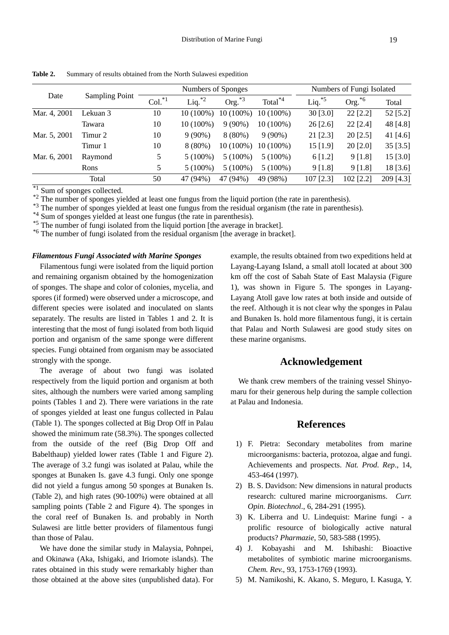| Date         | <b>Sampling Point</b> | Numbers of Sponges   |             |             |                     | Numbers of Fungi Isolated |           |            |
|--------------|-----------------------|----------------------|-------------|-------------|---------------------|---------------------------|-----------|------------|
|              |                       | $Col.$ <sup>*1</sup> | $Liq.^{*2}$ | Org. $*3$   | Total <sup>*4</sup> | $Liq.^{*5}$               | $Org.*6$  | Total      |
| Mar. 4, 2001 | Lekuan 3              | 10                   | 10 (100%)   | $10(100\%)$ | $10(100\%)$         | 30 [3.0]                  | 22 [2.2]  | 52 [5.2]   |
|              | Tawara                | 10                   | $10(100\%)$ | $9(90\%)$   | $10(100\%)$         | $26$ [2.6]                | 22 [2.4]  | 48 [4.8]   |
| Mar. 5, 2001 | Timur 2               | 10                   | $9(90\%)$   | $8(80\%)$   | $9(90\%)$           | 21 [2.3]                  | 20 [2.5]  | 41 $[4.6]$ |
|              | Timur 1               | 10                   | $8(80\%)$   | $10(100\%)$ | $10(100\%)$         | $15$ [1.9]                | 20 [2.0]  | 35 [3.5]   |
| Mar. 6, 2001 | Raymond               | 5                    | $5(100\%)$  | $5(100\%)$  | $5(100\%)$          | 6[1.2]                    | 9[1.8]    | 15 [3.0]   |
|              | Rons                  | 5                    | $5(100\%)$  | $5(100\%)$  | $5(100\%)$          | 9 [1.8]                   | 9[1.8]    | 18 [3.6]   |
|              | Total                 | 50                   | 47 (94%)    | 47 (94%)    | 49 (98%)            | 107 [2.3]                 | 102 [2.2] | 209 [4.3]  |

**Table 2.** Summary of results obtained from the North Sulawesi expedition

<sup>\*1</sup> Sum of sponges collected.<br><sup>\*2</sup> The number of sponges yielded at least one fungus from the liquid portion (the rate in parenthesis).<br><sup>\*3</sup> The number of sponges yielded at least one fungus from the residual organism (t

#### *Filamentous Fungi Associated with Marine Sponges*

Filamentous fungi were isolated from the liquid portion and remaining organism obtained by the homogenization of sponges. The shape and color of colonies, mycelia, and spores (if formed) were observed under a microscope, and different species were isolated and inoculated on slants separately. The results are listed in Tables 1 and 2. It is interesting that the most of fungi isolated from both liquid portion and organism of the same sponge were different species. Fungi obtained from organism may be associated strongly with the sponge.

The average of about two fungi was isolated respectively from the liquid portion and organism at both sites, although the numbers were varied among sampling points (Tables 1 and 2). There were variations in the rate of sponges yielded at least one fungus collected in Palau (Table 1). The sponges collected at Big Drop Off in Palau showed the minimum rate (58.3%). The sponges collected from the outside of the reef (Big Drop Off and Babelthaup) yielded lower rates (Table 1 and Figure 2). The average of 3.2 fungi was isolated at Palau, while the sponges at Bunaken Is. gave 4.3 fungi. Only one sponge did not yield a fungus among 50 sponges at Bunaken Is. (Table 2), and high rates (90-100%) were obtained at all sampling points (Table 2 and Figure 4). The sponges in the coral reef of Bunaken Is. and probably in North Sulawesi are little better providers of filamentous fungi than those of Palau.

We have done the similar study in Malaysia, Pohnpei, and Okinawa (Aka, Ishigaki, and Iriomote islands). The rates obtained in this study were remarkably higher than those obtained at the above sites (unpublished data). For example, the results obtained from two expeditions held at Layang-Layang Island, a small atoll located at about 300 km off the cost of Sabah State of East Malaysia (Figure 1), was shown in Figure 5. The sponges in Layang-Layang Atoll gave low rates at both inside and outside of the reef. Although it is not clear why the sponges in Palau and Bunaken Is. hold more filamentous fungi, it is certain that Palau and North Sulawesi are good study sites on these marine organisms.

## **Acknowledgement**

We thank crew members of the training vessel Shinyomaru for their generous help during the sample collection at Palau and Indonesia.

## **References**

- 1) F. Pietra: Secondary metabolites from marine microorganisms: bacteria, protozoa, algae and fungi. Achievements and prospects. *Nat. Prod. Rep*., 14, 453-464 (1997).
- 2) B. S. Davidson: New dimensions in natural products research: cultured marine microorganisms. *Curr. Opin. Biotechnol*., 6, 284-291 (1995).
- 3) K. Liberra and U. Lindequist: Marine fungi a prolific resource of biologically active natural products? *Pharmazie*, 50, 583-588 (1995).
- 4) J. Kobayashi and M. Ishibashi: Bioactive metabolites of symbiotic marine microorganisms. *Chem. Rev*., 93, 1753-1769 (1993).
- 5) M. Namikoshi, K. Akano, S. Meguro, I. Kasuga, Y.